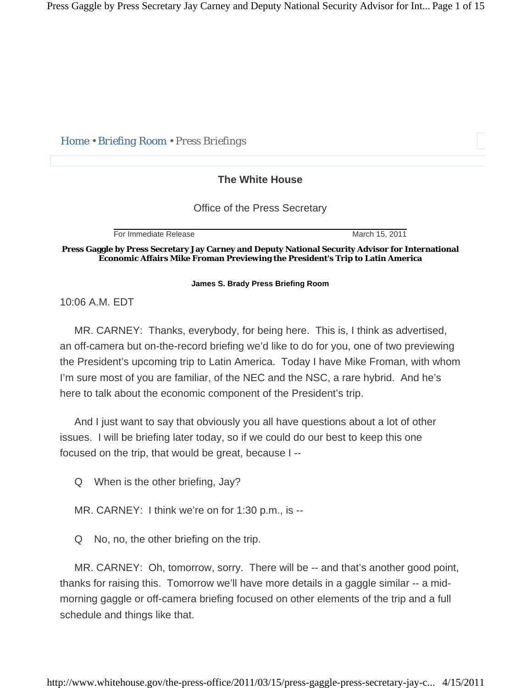Press Gaggle by Press Secretary Jay Carney and Deputy National Security Advisor for Int... Page 1 of 15

*Home • Briefing Room • Press Briefings* 

## **The White House**

Office of the Press Secretary

For Immediate Release March 15, 2011

**Press Gaggle by Press Secretary Jay Carney and Deputy National Security Advisor for International Economic Affairs Mike Froman Previewing the President's Trip to Latin America** 

**James S. Brady Press Briefing Room** 

10:06 A.M. EDT

 MR. CARNEY: Thanks, everybody, for being here. This is, I think as advertised, an off-camera but on-the-record briefing we'd like to do for you, one of two previewing the President's upcoming trip to Latin America. Today I have Mike Froman, with whom I'm sure most of you are familiar, of the NEC and the NSC, a rare hybrid. And he's here to talk about the economic component of the President's trip.

 And I just want to say that obviously you all have questions about a lot of other issues. I will be briefing later today, so if we could do our best to keep this one focused on the trip, that would be great, because I --

Q When is the other briefing, Jay?

MR. CARNEY: I think we're on for 1:30 p.m., is --

Q No, no, the other briefing on the trip.

 MR. CARNEY: Oh, tomorrow, sorry. There will be -- and that's another good point, thanks for raising this. Tomorrow we'll have more details in a gaggle similar -- a midmorning gaggle or off-camera briefing focused on other elements of the trip and a full schedule and things like that.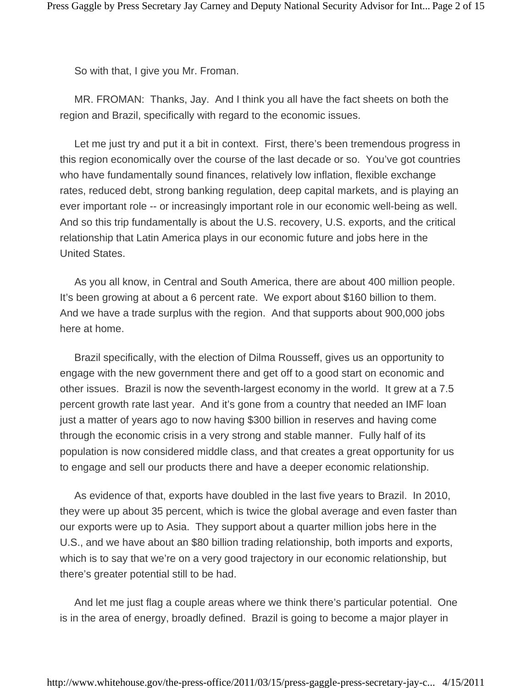So with that, I give you Mr. Froman.

 MR. FROMAN: Thanks, Jay. And I think you all have the fact sheets on both the region and Brazil, specifically with regard to the economic issues.

 Let me just try and put it a bit in context. First, there's been tremendous progress in this region economically over the course of the last decade or so. You've got countries who have fundamentally sound finances, relatively low inflation, flexible exchange rates, reduced debt, strong banking regulation, deep capital markets, and is playing an ever important role -- or increasingly important role in our economic well-being as well. And so this trip fundamentally is about the U.S. recovery, U.S. exports, and the critical relationship that Latin America plays in our economic future and jobs here in the United States.

 As you all know, in Central and South America, there are about 400 million people. It's been growing at about a 6 percent rate. We export about \$160 billion to them. And we have a trade surplus with the region. And that supports about 900,000 jobs here at home.

 Brazil specifically, with the election of Dilma Rousseff, gives us an opportunity to engage with the new government there and get off to a good start on economic and other issues. Brazil is now the seventh-largest economy in the world. It grew at a 7.5 percent growth rate last year. And it's gone from a country that needed an IMF loan just a matter of years ago to now having \$300 billion in reserves and having come through the economic crisis in a very strong and stable manner. Fully half of its population is now considered middle class, and that creates a great opportunity for us to engage and sell our products there and have a deeper economic relationship.

 As evidence of that, exports have doubled in the last five years to Brazil. In 2010, they were up about 35 percent, which is twice the global average and even faster than our exports were up to Asia. They support about a quarter million jobs here in the U.S., and we have about an \$80 billion trading relationship, both imports and exports, which is to say that we're on a very good trajectory in our economic relationship, but there's greater potential still to be had.

 And let me just flag a couple areas where we think there's particular potential. One is in the area of energy, broadly defined. Brazil is going to become a major player in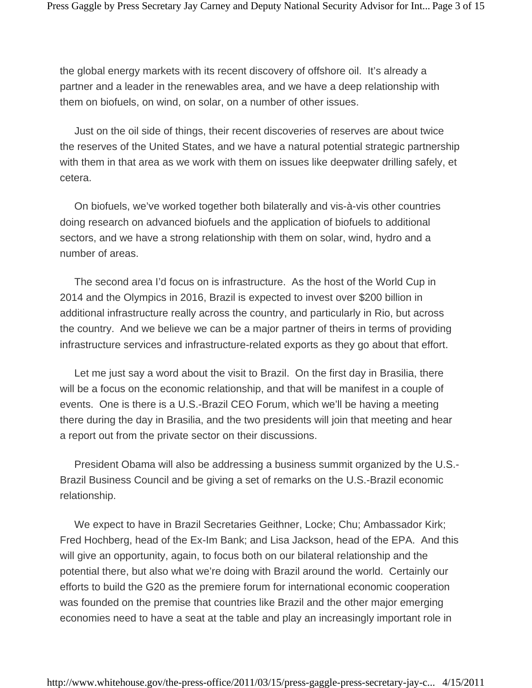the global energy markets with its recent discovery of offshore oil. It's already a partner and a leader in the renewables area, and we have a deep relationship with them on biofuels, on wind, on solar, on a number of other issues.

 Just on the oil side of things, their recent discoveries of reserves are about twice the reserves of the United States, and we have a natural potential strategic partnership with them in that area as we work with them on issues like deepwater drilling safely, et cetera.

 On biofuels, we've worked together both bilaterally and vis-à-vis other countries doing research on advanced biofuels and the application of biofuels to additional sectors, and we have a strong relationship with them on solar, wind, hydro and a number of areas.

 The second area I'd focus on is infrastructure. As the host of the World Cup in 2014 and the Olympics in 2016, Brazil is expected to invest over \$200 billion in additional infrastructure really across the country, and particularly in Rio, but across the country. And we believe we can be a major partner of theirs in terms of providing infrastructure services and infrastructure-related exports as they go about that effort.

 Let me just say a word about the visit to Brazil. On the first day in Brasilia, there will be a focus on the economic relationship, and that will be manifest in a couple of events. One is there is a U.S.-Brazil CEO Forum, which we'll be having a meeting there during the day in Brasilia, and the two presidents will join that meeting and hear a report out from the private sector on their discussions.

 President Obama will also be addressing a business summit organized by the U.S.- Brazil Business Council and be giving a set of remarks on the U.S.-Brazil economic relationship.

 We expect to have in Brazil Secretaries Geithner, Locke; Chu; Ambassador Kirk; Fred Hochberg, head of the Ex-Im Bank; and Lisa Jackson, head of the EPA. And this will give an opportunity, again, to focus both on our bilateral relationship and the potential there, but also what we're doing with Brazil around the world. Certainly our efforts to build the G20 as the premiere forum for international economic cooperation was founded on the premise that countries like Brazil and the other major emerging economies need to have a seat at the table and play an increasingly important role in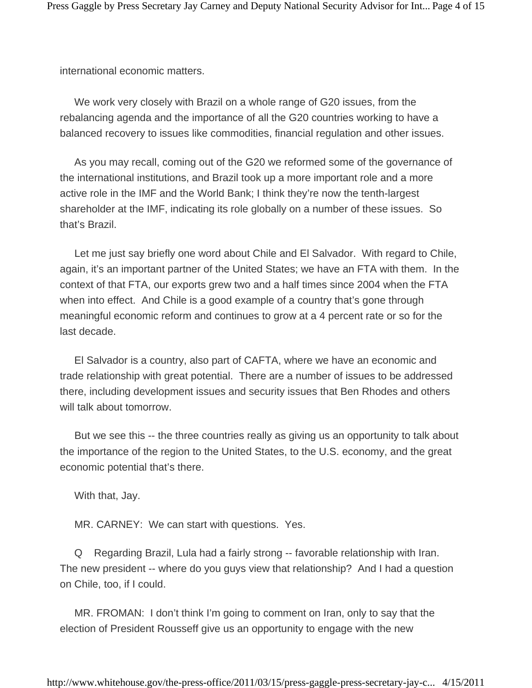international economic matters.

 We work very closely with Brazil on a whole range of G20 issues, from the rebalancing agenda and the importance of all the G20 countries working to have a balanced recovery to issues like commodities, financial regulation and other issues.

 As you may recall, coming out of the G20 we reformed some of the governance of the international institutions, and Brazil took up a more important role and a more active role in the IMF and the World Bank; I think they're now the tenth-largest shareholder at the IMF, indicating its role globally on a number of these issues. So that's Brazil.

 Let me just say briefly one word about Chile and El Salvador. With regard to Chile, again, it's an important partner of the United States; we have an FTA with them. In the context of that FTA, our exports grew two and a half times since 2004 when the FTA when into effect. And Chile is a good example of a country that's gone through meaningful economic reform and continues to grow at a 4 percent rate or so for the last decade.

 El Salvador is a country, also part of CAFTA, where we have an economic and trade relationship with great potential. There are a number of issues to be addressed there, including development issues and security issues that Ben Rhodes and others will talk about tomorrow.

 But we see this -- the three countries really as giving us an opportunity to talk about the importance of the region to the United States, to the U.S. economy, and the great economic potential that's there.

With that, Jay.

MR. CARNEY: We can start with questions. Yes.

 Q Regarding Brazil, Lula had a fairly strong -- favorable relationship with Iran. The new president -- where do you guys view that relationship? And I had a question on Chile, too, if I could.

 MR. FROMAN: I don't think I'm going to comment on Iran, only to say that the election of President Rousseff give us an opportunity to engage with the new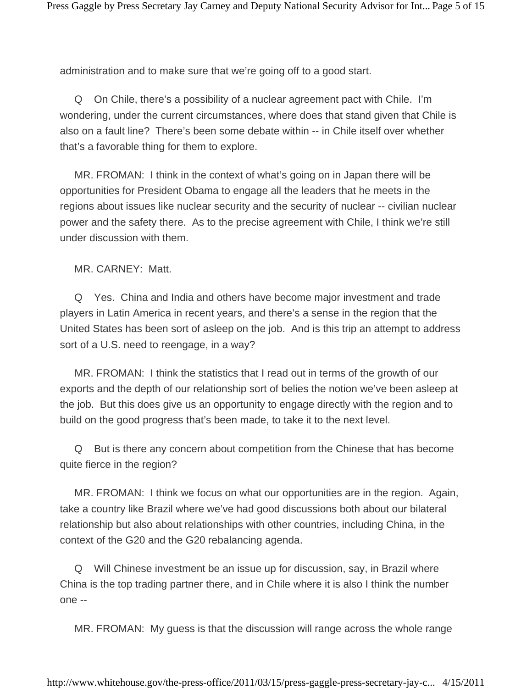administration and to make sure that we're going off to a good start.

 Q On Chile, there's a possibility of a nuclear agreement pact with Chile. I'm wondering, under the current circumstances, where does that stand given that Chile is also on a fault line? There's been some debate within -- in Chile itself over whether that's a favorable thing for them to explore.

 MR. FROMAN: I think in the context of what's going on in Japan there will be opportunities for President Obama to engage all the leaders that he meets in the regions about issues like nuclear security and the security of nuclear -- civilian nuclear power and the safety there. As to the precise agreement with Chile, I think we're still under discussion with them.

MR. CARNEY: Matt.

 Q Yes. China and India and others have become major investment and trade players in Latin America in recent years, and there's a sense in the region that the United States has been sort of asleep on the job. And is this trip an attempt to address sort of a U.S. need to reengage, in a way?

 MR. FROMAN: I think the statistics that I read out in terms of the growth of our exports and the depth of our relationship sort of belies the notion we've been asleep at the job. But this does give us an opportunity to engage directly with the region and to build on the good progress that's been made, to take it to the next level.

 Q But is there any concern about competition from the Chinese that has become quite fierce in the region?

 MR. FROMAN: I think we focus on what our opportunities are in the region. Again, take a country like Brazil where we've had good discussions both about our bilateral relationship but also about relationships with other countries, including China, in the context of the G20 and the G20 rebalancing agenda.

 Q Will Chinese investment be an issue up for discussion, say, in Brazil where China is the top trading partner there, and in Chile where it is also I think the number one --

MR. FROMAN: My guess is that the discussion will range across the whole range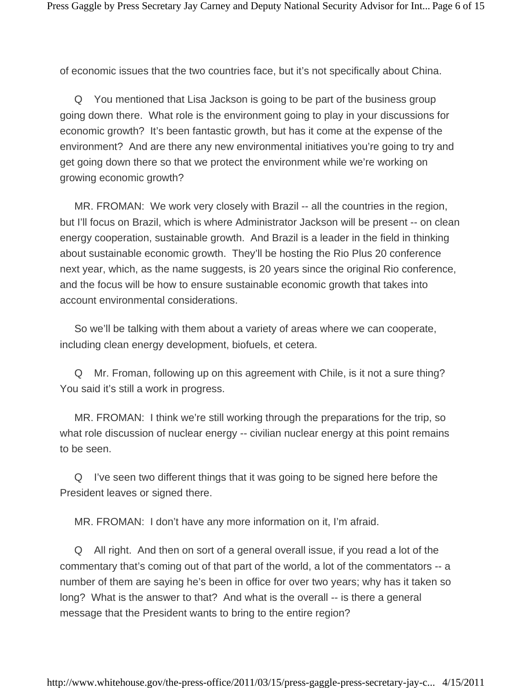of economic issues that the two countries face, but it's not specifically about China.

 Q You mentioned that Lisa Jackson is going to be part of the business group going down there. What role is the environment going to play in your discussions for economic growth? It's been fantastic growth, but has it come at the expense of the environment? And are there any new environmental initiatives you're going to try and get going down there so that we protect the environment while we're working on growing economic growth?

 MR. FROMAN: We work very closely with Brazil -- all the countries in the region, but I'll focus on Brazil, which is where Administrator Jackson will be present -- on clean energy cooperation, sustainable growth. And Brazil is a leader in the field in thinking about sustainable economic growth. They'll be hosting the Rio Plus 20 conference next year, which, as the name suggests, is 20 years since the original Rio conference, and the focus will be how to ensure sustainable economic growth that takes into account environmental considerations.

 So we'll be talking with them about a variety of areas where we can cooperate, including clean energy development, biofuels, et cetera.

 Q Mr. Froman, following up on this agreement with Chile, is it not a sure thing? You said it's still a work in progress.

 MR. FROMAN: I think we're still working through the preparations for the trip, so what role discussion of nuclear energy -- civilian nuclear energy at this point remains to be seen.

 Q I've seen two different things that it was going to be signed here before the President leaves or signed there.

MR. FROMAN: I don't have any more information on it, I'm afraid.

 Q All right. And then on sort of a general overall issue, if you read a lot of the commentary that's coming out of that part of the world, a lot of the commentators -- a number of them are saying he's been in office for over two years; why has it taken so long? What is the answer to that? And what is the overall -- is there a general message that the President wants to bring to the entire region?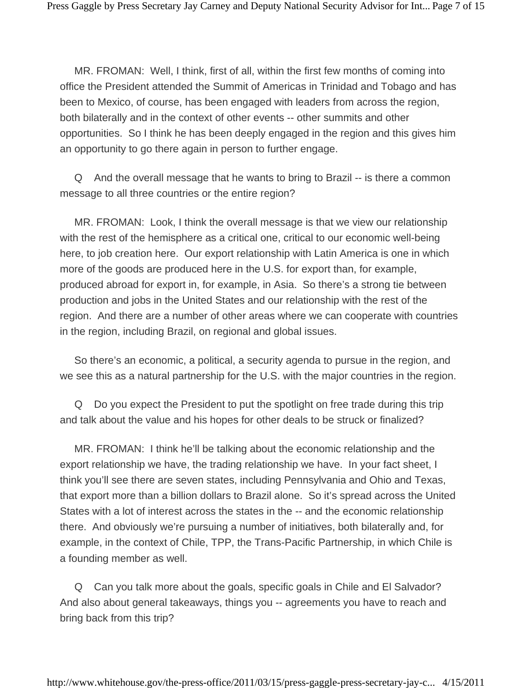MR. FROMAN: Well, I think, first of all, within the first few months of coming into office the President attended the Summit of Americas in Trinidad and Tobago and has been to Mexico, of course, has been engaged with leaders from across the region, both bilaterally and in the context of other events -- other summits and other opportunities. So I think he has been deeply engaged in the region and this gives him an opportunity to go there again in person to further engage.

 Q And the overall message that he wants to bring to Brazil -- is there a common message to all three countries or the entire region?

 MR. FROMAN: Look, I think the overall message is that we view our relationship with the rest of the hemisphere as a critical one, critical to our economic well-being here, to job creation here. Our export relationship with Latin America is one in which more of the goods are produced here in the U.S. for export than, for example, produced abroad for export in, for example, in Asia. So there's a strong tie between production and jobs in the United States and our relationship with the rest of the region. And there are a number of other areas where we can cooperate with countries in the region, including Brazil, on regional and global issues.

 So there's an economic, a political, a security agenda to pursue in the region, and we see this as a natural partnership for the U.S. with the major countries in the region.

 Q Do you expect the President to put the spotlight on free trade during this trip and talk about the value and his hopes for other deals to be struck or finalized?

 MR. FROMAN: I think he'll be talking about the economic relationship and the export relationship we have, the trading relationship we have. In your fact sheet, I think you'll see there are seven states, including Pennsylvania and Ohio and Texas, that export more than a billion dollars to Brazil alone. So it's spread across the United States with a lot of interest across the states in the -- and the economic relationship there. And obviously we're pursuing a number of initiatives, both bilaterally and, for example, in the context of Chile, TPP, the Trans-Pacific Partnership, in which Chile is a founding member as well.

 Q Can you talk more about the goals, specific goals in Chile and El Salvador? And also about general takeaways, things you -- agreements you have to reach and bring back from this trip?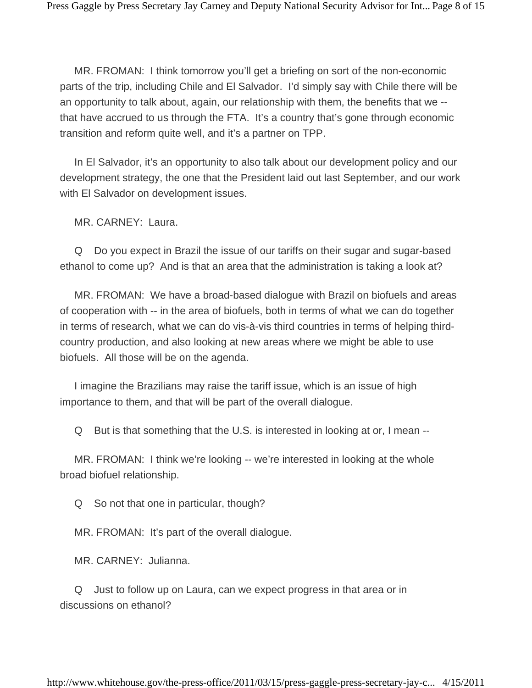MR. FROMAN: I think tomorrow you'll get a briefing on sort of the non-economic parts of the trip, including Chile and El Salvador. I'd simply say with Chile there will be an opportunity to talk about, again, our relationship with them, the benefits that we - that have accrued to us through the FTA. It's a country that's gone through economic transition and reform quite well, and it's a partner on TPP.

 In El Salvador, it's an opportunity to also talk about our development policy and our development strategy, the one that the President laid out last September, and our work with El Salvador on development issues.

MR. CARNEY: Laura.

 Q Do you expect in Brazil the issue of our tariffs on their sugar and sugar-based ethanol to come up? And is that an area that the administration is taking a look at?

 MR. FROMAN: We have a broad-based dialogue with Brazil on biofuels and areas of cooperation with -- in the area of biofuels, both in terms of what we can do together in terms of research, what we can do vis-à-vis third countries in terms of helping thirdcountry production, and also looking at new areas where we might be able to use biofuels. All those will be on the agenda.

 I imagine the Brazilians may raise the tariff issue, which is an issue of high importance to them, and that will be part of the overall dialogue.

Q But is that something that the U.S. is interested in looking at or, I mean --

 MR. FROMAN: I think we're looking -- we're interested in looking at the whole broad biofuel relationship.

Q So not that one in particular, though?

MR. FROMAN: It's part of the overall dialogue.

MR. CARNEY: Julianna.

 Q Just to follow up on Laura, can we expect progress in that area or in discussions on ethanol?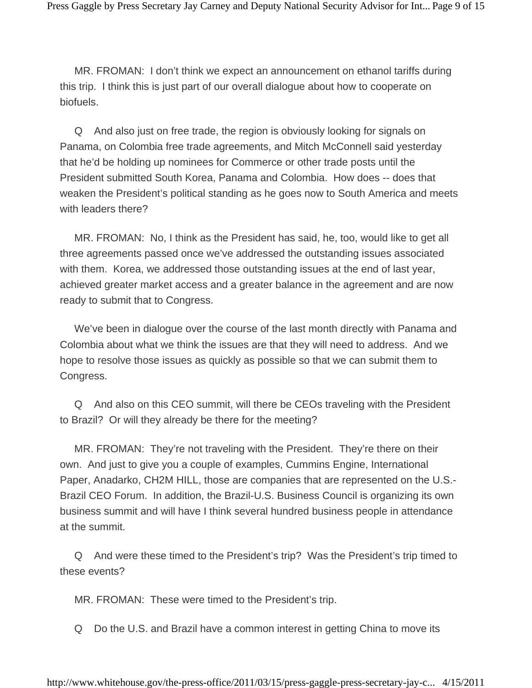MR. FROMAN: I don't think we expect an announcement on ethanol tariffs during this trip. I think this is just part of our overall dialogue about how to cooperate on biofuels.

 Q And also just on free trade, the region is obviously looking for signals on Panama, on Colombia free trade agreements, and Mitch McConnell said yesterday that he'd be holding up nominees for Commerce or other trade posts until the President submitted South Korea, Panama and Colombia. How does -- does that weaken the President's political standing as he goes now to South America and meets with leaders there?

 MR. FROMAN: No, I think as the President has said, he, too, would like to get all three agreements passed once we've addressed the outstanding issues associated with them. Korea, we addressed those outstanding issues at the end of last year, achieved greater market access and a greater balance in the agreement and are now ready to submit that to Congress.

 We've been in dialogue over the course of the last month directly with Panama and Colombia about what we think the issues are that they will need to address. And we hope to resolve those issues as quickly as possible so that we can submit them to Congress.

 Q And also on this CEO summit, will there be CEOs traveling with the President to Brazil? Or will they already be there for the meeting?

 MR. FROMAN: They're not traveling with the President. They're there on their own. And just to give you a couple of examples, Cummins Engine, International Paper, Anadarko, CH2M HILL, those are companies that are represented on the U.S.- Brazil CEO Forum. In addition, the Brazil-U.S. Business Council is organizing its own business summit and will have I think several hundred business people in attendance at the summit.

 Q And were these timed to the President's trip? Was the President's trip timed to these events?

MR. FROMAN: These were timed to the President's trip.

Q Do the U.S. and Brazil have a common interest in getting China to move its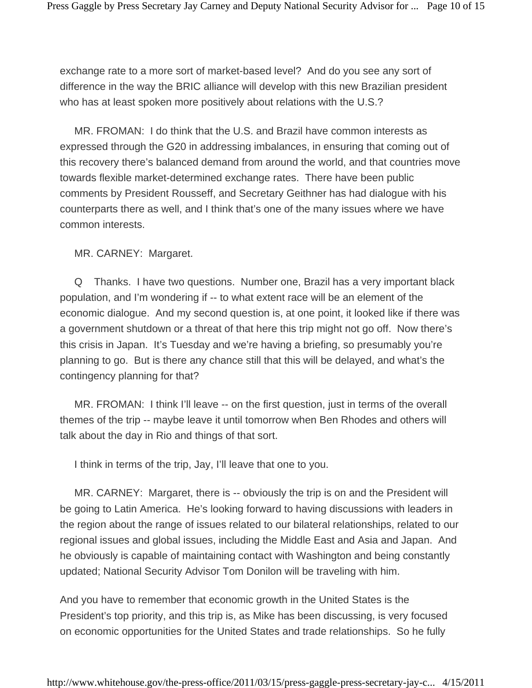exchange rate to a more sort of market-based level? And do you see any sort of difference in the way the BRIC alliance will develop with this new Brazilian president who has at least spoken more positively about relations with the U.S.?

 MR. FROMAN: I do think that the U.S. and Brazil have common interests as expressed through the G20 in addressing imbalances, in ensuring that coming out of this recovery there's balanced demand from around the world, and that countries move towards flexible market-determined exchange rates. There have been public comments by President Rousseff, and Secretary Geithner has had dialogue with his counterparts there as well, and I think that's one of the many issues where we have common interests.

MR. CARNEY: Margaret.

 Q Thanks. I have two questions. Number one, Brazil has a very important black population, and I'm wondering if -- to what extent race will be an element of the economic dialogue. And my second question is, at one point, it looked like if there was a government shutdown or a threat of that here this trip might not go off. Now there's this crisis in Japan. It's Tuesday and we're having a briefing, so presumably you're planning to go. But is there any chance still that this will be delayed, and what's the contingency planning for that?

 MR. FROMAN: I think I'll leave -- on the first question, just in terms of the overall themes of the trip -- maybe leave it until tomorrow when Ben Rhodes and others will talk about the day in Rio and things of that sort.

I think in terms of the trip, Jay, I'll leave that one to you.

MR. CARNEY: Margaret, there is -- obviously the trip is on and the President will be going to Latin America. He's looking forward to having discussions with leaders in the region about the range of issues related to our bilateral relationships, related to our regional issues and global issues, including the Middle East and Asia and Japan. And he obviously is capable of maintaining contact with Washington and being constantly updated; National Security Advisor Tom Donilon will be traveling with him.

And you have to remember that economic growth in the United States is the President's top priority, and this trip is, as Mike has been discussing, is very focused on economic opportunities for the United States and trade relationships. So he fully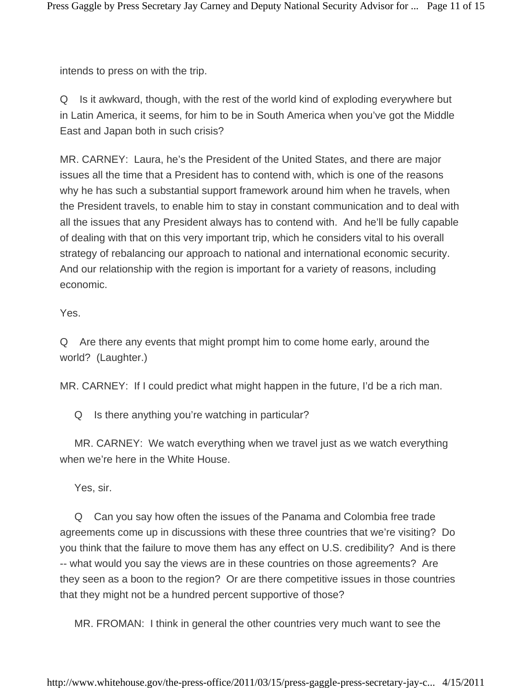intends to press on with the trip.

Q Is it awkward, though, with the rest of the world kind of exploding everywhere but in Latin America, it seems, for him to be in South America when you've got the Middle East and Japan both in such crisis?

MR. CARNEY: Laura, he's the President of the United States, and there are major issues all the time that a President has to contend with, which is one of the reasons why he has such a substantial support framework around him when he travels, when the President travels, to enable him to stay in constant communication and to deal with all the issues that any President always has to contend with. And he'll be fully capable of dealing with that on this very important trip, which he considers vital to his overall strategy of rebalancing our approach to national and international economic security. And our relationship with the region is important for a variety of reasons, including economic.

Yes.

Q Are there any events that might prompt him to come home early, around the world? (Laughter.)

MR. CARNEY: If I could predict what might happen in the future, I'd be a rich man.

Q Is there anything you're watching in particular?

 MR. CARNEY: We watch everything when we travel just as we watch everything when we're here in the White House.

Yes, sir.

 Q Can you say how often the issues of the Panama and Colombia free trade agreements come up in discussions with these three countries that we're visiting? Do you think that the failure to move them has any effect on U.S. credibility? And is there -- what would you say the views are in these countries on those agreements? Are they seen as a boon to the region? Or are there competitive issues in those countries that they might not be a hundred percent supportive of those?

MR. FROMAN: I think in general the other countries very much want to see the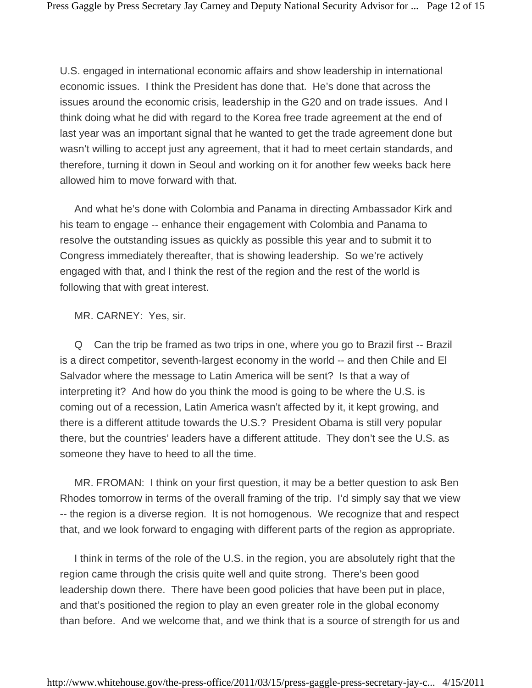U.S. engaged in international economic affairs and show leadership in international economic issues. I think the President has done that. He's done that across the issues around the economic crisis, leadership in the G20 and on trade issues. And I think doing what he did with regard to the Korea free trade agreement at the end of last year was an important signal that he wanted to get the trade agreement done but wasn't willing to accept just any agreement, that it had to meet certain standards, and therefore, turning it down in Seoul and working on it for another few weeks back here allowed him to move forward with that.

 And what he's done with Colombia and Panama in directing Ambassador Kirk and his team to engage -- enhance their engagement with Colombia and Panama to resolve the outstanding issues as quickly as possible this year and to submit it to Congress immediately thereafter, that is showing leadership. So we're actively engaged with that, and I think the rest of the region and the rest of the world is following that with great interest.

MR. CARNEY: Yes, sir.

 Q Can the trip be framed as two trips in one, where you go to Brazil first -- Brazil is a direct competitor, seventh-largest economy in the world -- and then Chile and El Salvador where the message to Latin America will be sent? Is that a way of interpreting it? And how do you think the mood is going to be where the U.S. is coming out of a recession, Latin America wasn't affected by it, it kept growing, and there is a different attitude towards the U.S.? President Obama is still very popular there, but the countries' leaders have a different attitude. They don't see the U.S. as someone they have to heed to all the time.

 MR. FROMAN: I think on your first question, it may be a better question to ask Ben Rhodes tomorrow in terms of the overall framing of the trip. I'd simply say that we view -- the region is a diverse region. It is not homogenous. We recognize that and respect that, and we look forward to engaging with different parts of the region as appropriate.

 I think in terms of the role of the U.S. in the region, you are absolutely right that the region came through the crisis quite well and quite strong. There's been good leadership down there. There have been good policies that have been put in place, and that's positioned the region to play an even greater role in the global economy than before. And we welcome that, and we think that is a source of strength for us and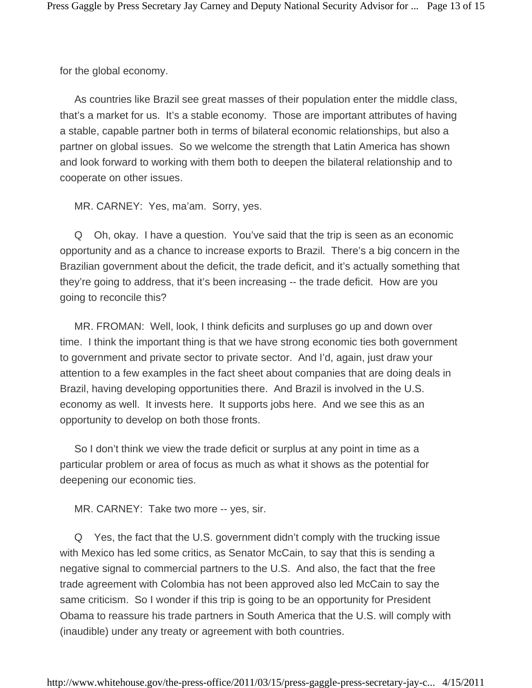for the global economy.

 As countries like Brazil see great masses of their population enter the middle class, that's a market for us. It's a stable economy. Those are important attributes of having a stable, capable partner both in terms of bilateral economic relationships, but also a partner on global issues. So we welcome the strength that Latin America has shown and look forward to working with them both to deepen the bilateral relationship and to cooperate on other issues.

MR. CARNEY: Yes, ma'am. Sorry, yes.

 Q Oh, okay. I have a question. You've said that the trip is seen as an economic opportunity and as a chance to increase exports to Brazil. There's a big concern in the Brazilian government about the deficit, the trade deficit, and it's actually something that they're going to address, that it's been increasing -- the trade deficit. How are you going to reconcile this?

 MR. FROMAN: Well, look, I think deficits and surpluses go up and down over time. I think the important thing is that we have strong economic ties both government to government and private sector to private sector. And I'd, again, just draw your attention to a few examples in the fact sheet about companies that are doing deals in Brazil, having developing opportunities there. And Brazil is involved in the U.S. economy as well. It invests here. It supports jobs here. And we see this as an opportunity to develop on both those fronts.

 So I don't think we view the trade deficit or surplus at any point in time as a particular problem or area of focus as much as what it shows as the potential for deepening our economic ties.

MR. CARNEY: Take two more -- yes, sir.

 Q Yes, the fact that the U.S. government didn't comply with the trucking issue with Mexico has led some critics, as Senator McCain, to say that this is sending a negative signal to commercial partners to the U.S. And also, the fact that the free trade agreement with Colombia has not been approved also led McCain to say the same criticism. So I wonder if this trip is going to be an opportunity for President Obama to reassure his trade partners in South America that the U.S. will comply with (inaudible) under any treaty or agreement with both countries.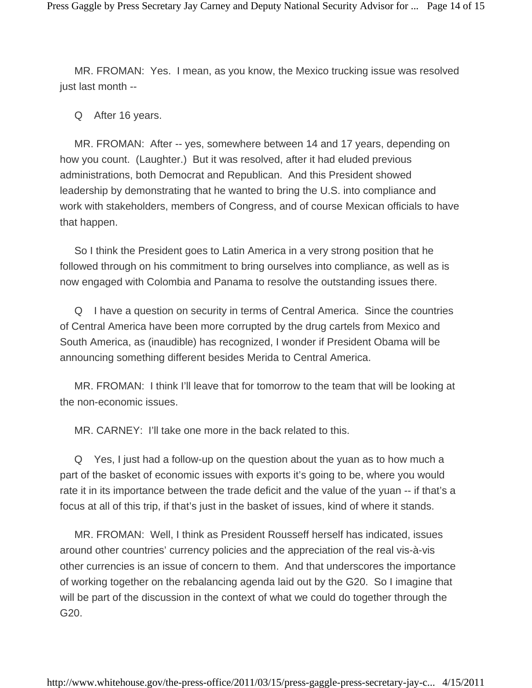MR. FROMAN: Yes. I mean, as you know, the Mexico trucking issue was resolved just last month --

Q After 16 years.

 MR. FROMAN: After -- yes, somewhere between 14 and 17 years, depending on how you count. (Laughter.) But it was resolved, after it had eluded previous administrations, both Democrat and Republican. And this President showed leadership by demonstrating that he wanted to bring the U.S. into compliance and work with stakeholders, members of Congress, and of course Mexican officials to have that happen.

 So I think the President goes to Latin America in a very strong position that he followed through on his commitment to bring ourselves into compliance, as well as is now engaged with Colombia and Panama to resolve the outstanding issues there.

 Q I have a question on security in terms of Central America. Since the countries of Central America have been more corrupted by the drug cartels from Mexico and South America, as (inaudible) has recognized, I wonder if President Obama will be announcing something different besides Merida to Central America.

 MR. FROMAN: I think I'll leave that for tomorrow to the team that will be looking at the non-economic issues.

MR. CARNEY: I'll take one more in the back related to this.

 Q Yes, I just had a follow-up on the question about the yuan as to how much a part of the basket of economic issues with exports it's going to be, where you would rate it in its importance between the trade deficit and the value of the yuan -- if that's a focus at all of this trip, if that's just in the basket of issues, kind of where it stands.

 MR. FROMAN: Well, I think as President Rousseff herself has indicated, issues around other countries' currency policies and the appreciation of the real vis-à-vis other currencies is an issue of concern to them. And that underscores the importance of working together on the rebalancing agenda laid out by the G20. So I imagine that will be part of the discussion in the context of what we could do together through the G20.